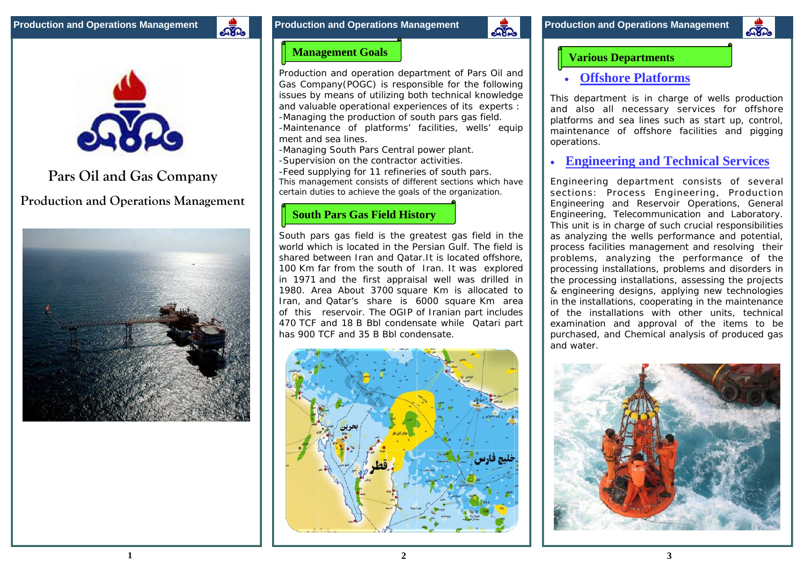



# **Pars Oil and Gas Company**

**Production and Operations Management**





**2**

### **Various Departments**

### **Offshore Platforms**

This department is in charge of wells production and also all necessary services for offshore platforms and sea lines such as start up, control, maintenance of offshore facilities and pigging operations.

#### $\bullet$ **Engineering and Technical Services**

Engineering department consists of several sections: Process Engineering, Production Engineering and Reservoir Operations, General Engineering, Telecommunication and Laboratory. This unit is in charge of such crucial responsibilities as analyzing the wells performance and potential, process facilities management and resolving their problems, analyzing the performance of the processing installations, problems and disorders in the processing installations, assessing the projects & engineering designs, applying new technologies in the installations, cooperating in the maintenance of the installations with other units, technical examination and approval of the items to be purchased, and Chemical analysis of produced gas and water.



### **Management Goals**

Production and operation department of Pars Oil and Gas Company(POGC) is responsible for the following issues by means of utilizing both technical knowledge and valuable operational experiences of its experts : -Managing the production of south pars gas field. -Maintenance of platforms' facilities, wells' equip ment and sea lines.

-Managing South Pars Central power plant. -Supervision on the contractor activities. -Feed supplying for 11 refineries of south pars. This management consists of different sections which have certain duties to achieve the goals of the organization.

## **South Pars Gas Field History**

South pars gas field is the greatest gas field in the world which is located in the Persian Gulf. The field is shared between Iran and Qatar.It is located offshore, 100 Km far from the south of Iran. It was explored in 1971 and the first appraisal well was drilled in 1980. Area About 3700 square Km is allocated to Iran, and Qatar's share is 6000 square Km area of this reservoir. The OGIP of Iranian part includes 470 TCF and 18 B Bbl condensate while Qatari part has 900 TCF and 35 B Bbl condensate.